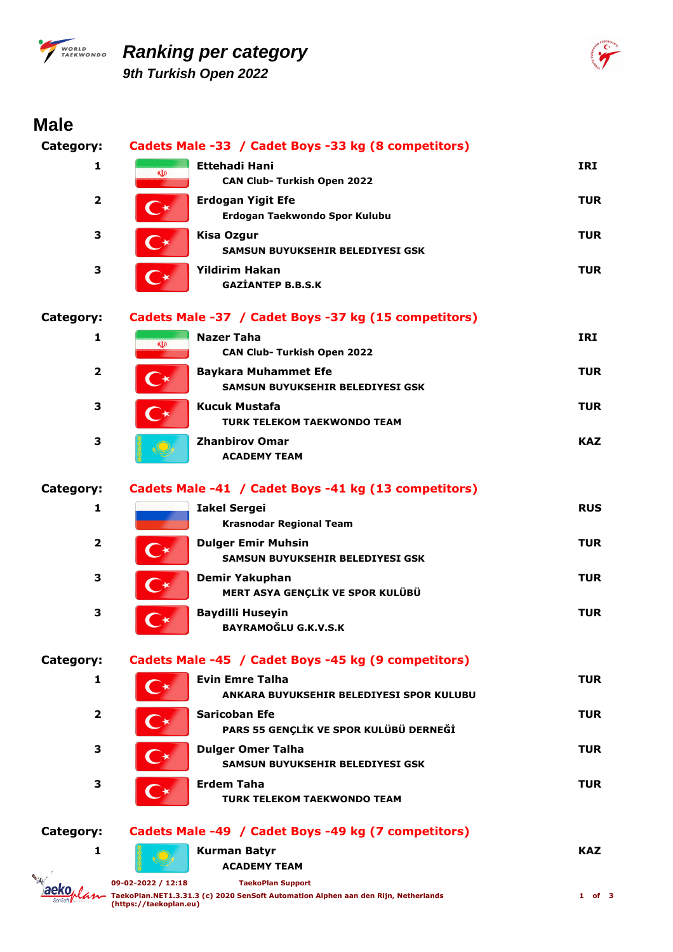

### *Ranking per category 9th Turkish Open 2022*



# **Male**

| Category:        |                      | Cadets Male -33 / Cadet Boys -33 kg (8 competitors)                  |            |
|------------------|----------------------|----------------------------------------------------------------------|------------|
| 1                | $\Phi$               | <b>Ettehadi Hani</b><br><b>CAN Club- Turkish Open 2022</b>           | IRI        |
| $\overline{2}$   |                      | <b>Erdogan Yigit Efe</b><br>Erdogan Taekwondo Spor Kulubu            | <b>TUR</b> |
| 3                |                      | <b>Kisa Ozgur</b><br>SAMSUN BUYUKSEHIR BELEDIYESI GSK                | <b>TUR</b> |
| 3                |                      | <b>Yildirim Hakan</b><br><b>GAZIANTEP B.B.S.K</b>                    | <b>TUR</b> |
| Category:        |                      | Cadets Male -37 / Cadet Boys -37 kg (15 competitors)                 |            |
| 1                | $\Phi$               | <b>Nazer Taha</b><br><b>CAN Club- Turkish Open 2022</b>              | IRI        |
| 2                |                      | <b>Baykara Muhammet Efe</b><br>SAMSUN BUYUKSEHIR BELEDIYESI GSK      | <b>TUR</b> |
| 3                |                      | <b>Kucuk Mustafa</b><br><b>TURK TELEKOM TAEKWONDO TEAM</b>           | <b>TUR</b> |
| 3                |                      | <b>Zhanbirov Omar</b><br><b>ACADEMY TEAM</b>                         | <b>KAZ</b> |
| Category:        |                      | Cadets Male -41 / Cadet Boys -41 kg (13 competitors)                 |            |
| 1                |                      | <b>Iakel Sergei</b><br><b>Krasnodar Regional Team</b>                | <b>RUS</b> |
| 2                | $\rightarrow$        | <b>Dulger Emir Muhsin</b><br><b>SAMSUN BUYUKSEHIR BELEDIYESI GSK</b> | <b>TUR</b> |
| 3                | $\mathbf{C}^{\star}$ | <b>Demir Yakuphan</b><br>MERT ASYA GENÇLİK VE SPOR KULÜBÜ            | <b>TUR</b> |
| 3                | $\curvearrowright$   | <b>Baydilli Huseyin</b><br><b>BAYRAMOĞLU G.K.V.S.K</b>               | <b>TUR</b> |
| <b>Category:</b> |                      | Cadets Male -45 / Cadet Boys -45 kg (9 competitors)                  |            |
| 1                | C                    | <b>Evin Emre Talha</b><br>ANKARA BUYUKSEHIR BELEDIYESI SPOR KULUBU   | <b>TUR</b> |
| $\overline{2}$   | $\curvearrowright$   | <b>Saricoban Efe</b><br>PARS 55 GENÇLİK VE SPOR KULÜBÜ DERNEĞİ       | <b>TUR</b> |
| 3                | $\mathsf{C}\star$    | <b>Dulger Omer Talha</b><br>SAMSUN BUYUKSEHIR BELEDIYESI GSK         | <b>TUR</b> |
| 3                |                      | <b>Erdem Taha</b><br><b>TURK TELEKOM TAEKWONDO TEAM</b>              | <b>TUR</b> |

#### Category: Cadets Male -49 / Cadet Boys -49 kg

1

| Male -49 / Cadet Boys -49 kg (7 competitors) |     |
|----------------------------------------------|-----|
| Kurman Batvr                                 | KAZ |
| <b>ACADEMY TEAM</b>                          |     |
|                                              |     |



1 of 3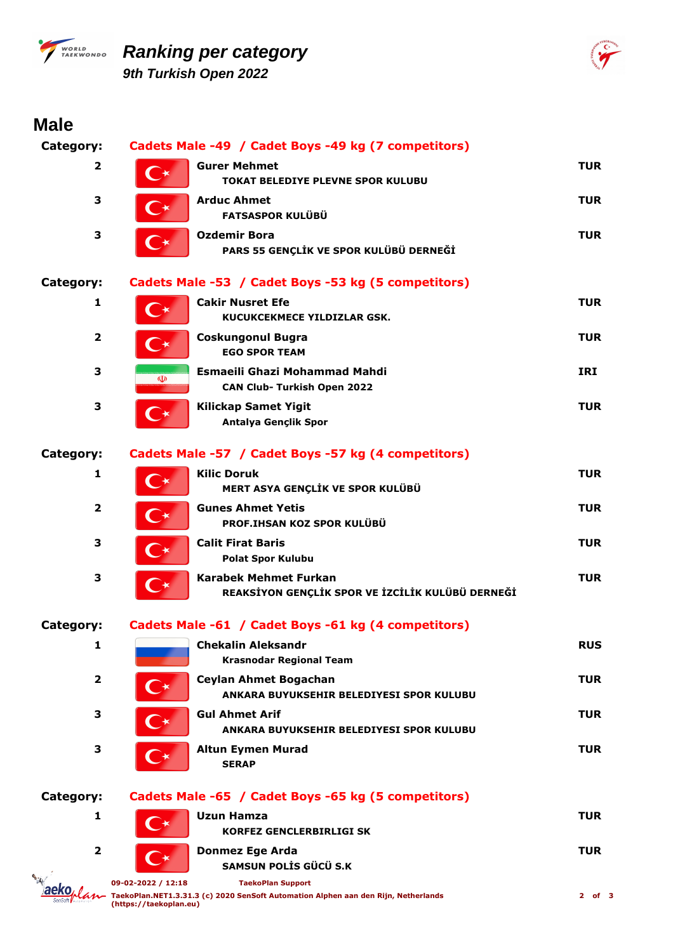

# *PWORLD* Ranking per category *9th Turkish Open 2022*



| <b>Male</b>             |                                              |                                                                                                                |            |
|-------------------------|----------------------------------------------|----------------------------------------------------------------------------------------------------------------|------------|
| Category:               |                                              | Cadets Male -49 / Cadet Boys -49 kg (7 competitors)                                                            |            |
| $\overline{2}$          | ◯★                                           | <b>Gurer Mehmet</b><br><b>TOKAT BELEDIYE PLEVNE SPOR KULUBU</b>                                                | <b>TUR</b> |
| 3                       |                                              | <b>Arduc Ahmet</b><br><b>FATSASPOR KULÜBÜ</b>                                                                  | <b>TUR</b> |
| 3                       | $\bullet$                                    | <b>Ozdemir Bora</b><br>PARS 55 GENÇLİK VE SPOR KULÜBÜ DERNEĞİ                                                  | <b>TUR</b> |
| <b>Category:</b>        |                                              | Cadets Male -53 / Cadet Boys -53 kg (5 competitors)                                                            |            |
| 1                       | $\curvearrowright$                           | <b>Cakir Nusret Efe</b><br>KUCUKCEKMECE YILDIZLAR GSK.                                                         | <b>TUR</b> |
| $\overline{\mathbf{2}}$ |                                              | <b>Coskungonul Bugra</b><br><b>EGO SPOR TEAM</b>                                                               | <b>TUR</b> |
| 3                       | $\mathbf{\Phi}$                              | Esmaeili Ghazi Mohammad Mahdi<br><b>CAN Club- Turkish Open 2022</b>                                            | <b>IRI</b> |
| 3                       | $\mathbb{C}^\star$                           | <b>Kilickap Samet Yigit</b><br>Antalya Gençlik Spor                                                            | <b>TUR</b> |
| <b>Category:</b>        |                                              | Cadets Male -57 / Cadet Boys -57 kg (4 competitors)                                                            |            |
| 1                       | $\bigcirc \star$                             | <b>Kilic Doruk</b><br>MERT ASYA GENÇLİK VE SPOR KULÜBÜ                                                         | <b>TUR</b> |
| $\mathbf{2}$            | $\mathsf{C}\star$                            | <b>Gunes Ahmet Yetis</b><br>PROF.IHSAN KOZ SPOR KULÜBÜ                                                         | <b>TUR</b> |
| 3                       | $\Gamma\star$                                | <b>Calit Firat Baris</b><br><b>Polat Spor Kulubu</b>                                                           | <b>TUR</b> |
| 3                       |                                              | <b>Karabek Mehmet Furkan</b><br>REAKSİYON GENÇLİK SPOR VE İZCİLİK KULÜBÜ DERNEĞİ                               | <b>TUR</b> |
| <b>Category:</b>        |                                              | Cadets Male -61 / Cadet Boys -61 kg (4 competitors)                                                            |            |
| 1                       |                                              | <b>Chekalin Aleksandr</b><br><b>Krasnodar Regional Team</b>                                                    | <b>RUS</b> |
| 2                       |                                              | Ceylan Ahmet Bogachan<br>ANKARA BUYUKSEHIR BELEDIYESI SPOR KULUBU                                              | TUR        |
| 3                       |                                              | <b>Gul Ahmet Arif</b><br>ANKARA BUYUKSEHIR BELEDIYESI SPOR KULUBU                                              | TUR        |
| 3                       |                                              | <b>Altun Eymen Murad</b><br><b>SERAP</b>                                                                       | <b>TUR</b> |
| Category:               |                                              | Cadets Male -65 / Cadet Boys -65 kg (5 competitors)                                                            |            |
| 1                       |                                              | <b>Uzun Hamza</b><br><b>KORFEZ GENCLERBIRLIGI SK</b>                                                           | <b>TUR</b> |
| 2                       |                                              | <b>Donmez Ege Arda</b><br>SAMSUN POLIS GÜCÜ S.K                                                                | TUR        |
|                         | 09-02-2022 / 12:18<br>(https://taekoplan.eu) | <b>TaekoPlan Support</b><br>TaekoPlan.NET1.3.31.3 (c) 2020 SenSoft Automation Alphen aan den Rijn, Netherlands | $2$ of 3   |